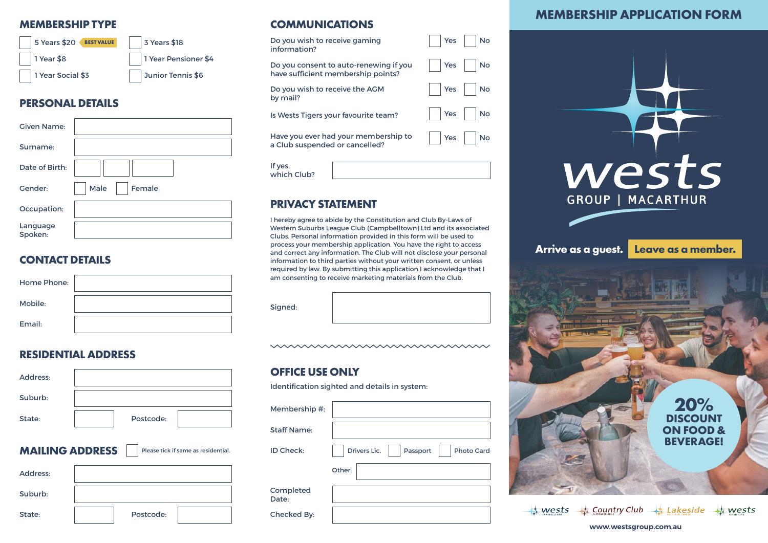

### **PERSONAL DETAILS**

| <b>Given Name:</b>  |                |
|---------------------|----------------|
| Surname:            |                |
| Date of Birth:      |                |
| Gender:             | Male<br>Female |
| Occupation:         |                |
| Language<br>Spoken: |                |

### **CONTACT DETAILS**

| Home Phone: | am cons |
|-------------|---------|
| Mobile:     | Signed: |
| Email:      |         |

### **RESIDENTIAL ADDRESS**

| Address:                                                      |           |  |  |  |
|---------------------------------------------------------------|-----------|--|--|--|
| Suburb:                                                       |           |  |  |  |
| State:                                                        | Postcode: |  |  |  |
| <b>MAILING ADDRESS</b><br>Please tick if same as residential. |           |  |  |  |
|                                                               |           |  |  |  |
| Address:                                                      |           |  |  |  |
| Suburb:                                                       |           |  |  |  |

### **MEMBERSHIP TYPE COMMUNICATIONS**

| Do you wish to receive gaming          | Yes              |
|----------------------------------------|------------------|
| information?                           | <b>No</b>        |
| Do you consent to auto-renewing if you | <b>No</b>        |
| have sufficient membership points?     | Yes              |
| Do you wish to receive the AGM         | <b>No</b>        |
| by mail?                               | Yes              |
| Is Wests Tigers your favourite team?   | <b>No</b><br>Yes |
| Have you ever had your membership to   | Yes              |
| a Club suspended or cancelled?         | No.              |
| If yes,<br>which Club?                 |                  |

### **PRIVACY STATEMENT**

I hereby agree to abide by the Constitution and Club By-Laws of Western Suburbs League Club (Campbelltown) Ltd and its associated Clubs. Personal information provided in this form will be used to process your membership application. You have the right to access and correct any information. The Club will not disclose your personal information to third parties without your written consent, or unless required by law. By submitting this application I acknowledge that I am consenting to receive marketing materials from the Club.

mmmmmmmmmmmm

### **OFFICE USE ONLY**

Identification sighted and details in system:

| Membership #:      |                                               |
|--------------------|-----------------------------------------------|
| <b>Staff Name:</b> |                                               |
| ID Check:          | Drivers Lic.<br><b>Photo Card</b><br>Passport |
|                    | Other:                                        |
| Completed<br>Date: |                                               |
| Checked By:        |                                               |

### **MEMBERSHIP APPLICATION FORM**



**www.westsgroup.com.au**